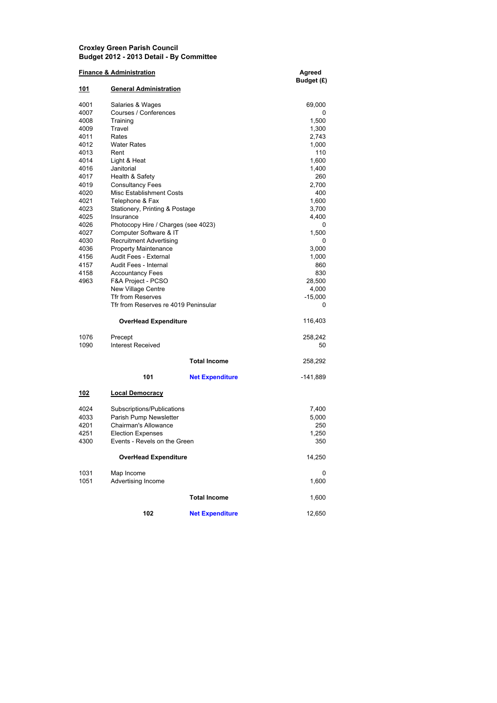## Croxley Green Parish Council Budget 2012 - 2013 Detail - By Committee

| <b>Finance &amp; Administration</b> | Agreed<br>Budget (£)                 |                        |              |
|-------------------------------------|--------------------------------------|------------------------|--------------|
| 101                                 | <b>General Administration</b>        |                        |              |
| 4001                                | Salaries & Wages                     |                        | 69,000       |
| 4007                                | Courses / Conferences                |                        | 0            |
| 4008                                | Training                             |                        | 1,500        |
| 4009                                | Travel                               |                        | 1,300        |
| 4011<br>4012                        | Rates<br><b>Water Rates</b>          |                        | 2,743        |
| 4013                                | Rent                                 |                        | 1,000<br>110 |
| 4014                                | Light & Heat                         |                        | 1,600        |
| 4016                                | Janitorial                           |                        | 1,400        |
| 4017                                | Health & Safety                      |                        | 260          |
| 4019                                | <b>Consultancy Fees</b>              |                        | 2,700        |
| 4020                                | Misc Establishment Costs             |                        | 400          |
| 4021                                | Telephone & Fax                      |                        | 1,600        |
| 4023                                | Stationery, Printing & Postage       |                        | 3,700        |
| 4025                                | Insurance                            |                        | 4,400        |
| 4026                                | Photocopy Hire / Charges (see 4023)  |                        | 0            |
| 4027                                | Computer Software & IT               |                        | 1,500        |
| 4030                                | <b>Recruitment Advertising</b>       |                        | 0            |
| 4036                                | <b>Property Maintenance</b>          |                        | 3,000        |
| 4156                                | Audit Fees - External                |                        | 1,000        |
| 4157                                | Audit Fees - Internal                |                        | 860          |
| 4158                                | <b>Accountancy Fees</b>              |                        | 830          |
| 4963                                | F&A Project - PCSO                   |                        | 28,500       |
|                                     | <b>New Village Centre</b>            |                        | 4,000        |
|                                     | <b>Tfr from Reserves</b>             |                        | $-15,000$    |
|                                     | Tfr from Reserves re 4019 Peninsular |                        | 0            |
|                                     | <b>OverHead Expenditure</b>          |                        | 116,403      |
| 1076                                | Precept                              |                        | 258,242      |
| 1090                                | Interest Received                    |                        | 50           |
|                                     |                                      | <b>Total Income</b>    | 258,292      |
|                                     | 101                                  | <b>Net Expenditure</b> | -141,889     |
| 102                                 | <b>Local Democracy</b>               |                        |              |
| 4024                                | Subscriptions/Publications           |                        | 7,400        |
| 4033                                | Parish Pump Newsletter               |                        | 5,000        |
| 4201                                | Chairman's Allowance                 |                        | 250          |
| 4251                                | <b>Election Expenses</b>             |                        | 1,250        |
| 4300                                | Events - Revels on the Green         |                        | 350          |
|                                     | <b>OverHead Expenditure</b>          |                        | 14,250       |
| 1031                                | Map Income                           |                        | 0            |
| 1051                                | Advertising Income                   |                        | 1,600        |
|                                     |                                      |                        |              |
|                                     |                                      | <b>Total Income</b>    | 1,600        |
|                                     | 102                                  | <b>Net Expenditure</b> | 12,650       |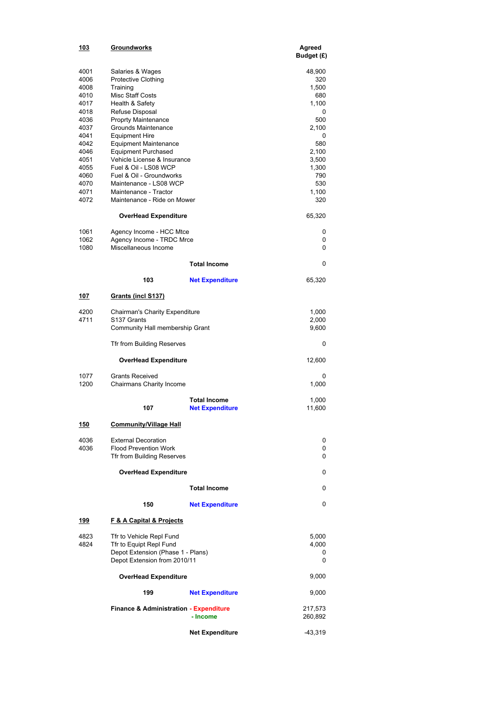| 103                                                                                                                                  | Groundworks                                                                                                                                                                                                                                                                                                                                                                                                                     |                                               | Agreed<br>Budget (£)                                                                                                             |
|--------------------------------------------------------------------------------------------------------------------------------------|---------------------------------------------------------------------------------------------------------------------------------------------------------------------------------------------------------------------------------------------------------------------------------------------------------------------------------------------------------------------------------------------------------------------------------|-----------------------------------------------|----------------------------------------------------------------------------------------------------------------------------------|
| 4001<br>4006<br>4008<br>4010<br>4017<br>4018<br>4036<br>4037<br>4041<br>4042<br>4046<br>4051<br>4055<br>4060<br>4070<br>4071<br>4072 | Salaries & Wages<br><b>Protective Clothing</b><br>Training<br>Misc Staff Costs<br>Health & Safety<br>Refuse Disposal<br><b>Proprty Maintenance</b><br>Grounds Maintenance<br><b>Equipment Hire</b><br>Equipment Maintenance<br><b>Equipment Purchased</b><br>Vehicle License & Insurance<br>Fuel & Oil - LS08 WCP<br>Fuel & Oil - Groundworks<br>Maintenance - LS08 WCP<br>Maintenance - Tractor<br>Maintenance - Ride on Mower |                                               | 48,900<br>320<br>1,500<br>680<br>1,100<br>0<br>500<br>2,100<br>0<br>580<br>2,100<br>3,500<br>1,300<br>790<br>530<br>1,100<br>320 |
|                                                                                                                                      | <b>OverHead Expenditure</b>                                                                                                                                                                                                                                                                                                                                                                                                     |                                               | 65,320                                                                                                                           |
| 1061<br>1062<br>1080                                                                                                                 | Agency Income - HCC Mtce<br>Agency Income - TRDC Mrce<br>Miscellaneous Income                                                                                                                                                                                                                                                                                                                                                   |                                               | 0<br>0<br>0                                                                                                                      |
|                                                                                                                                      |                                                                                                                                                                                                                                                                                                                                                                                                                                 | <b>Total Income</b>                           | 0                                                                                                                                |
|                                                                                                                                      | 103                                                                                                                                                                                                                                                                                                                                                                                                                             | <b>Net Expenditure</b>                        | 65,320                                                                                                                           |
| <u> 107</u>                                                                                                                          | Grants (incl S137)                                                                                                                                                                                                                                                                                                                                                                                                              |                                               |                                                                                                                                  |
| 4200<br>4711                                                                                                                         | Chairman's Charity Expenditure<br>S137 Grants<br>Community Hall membership Grant                                                                                                                                                                                                                                                                                                                                                |                                               |                                                                                                                                  |
|                                                                                                                                      | Tfr from Building Reserves                                                                                                                                                                                                                                                                                                                                                                                                      |                                               | 0                                                                                                                                |
|                                                                                                                                      | <b>OverHead Expenditure</b>                                                                                                                                                                                                                                                                                                                                                                                                     |                                               | 12,600                                                                                                                           |
| 1077<br>1200                                                                                                                         | <b>Grants Received</b><br>Chairmans Charity Income                                                                                                                                                                                                                                                                                                                                                                              |                                               | 0<br>1,000                                                                                                                       |
|                                                                                                                                      | 107                                                                                                                                                                                                                                                                                                                                                                                                                             | <b>Total Income</b><br><b>Net Expenditure</b> | 1,000<br>11,600                                                                                                                  |
| <u> 150</u>                                                                                                                          | <b>Community/Village Hall</b>                                                                                                                                                                                                                                                                                                                                                                                                   |                                               |                                                                                                                                  |
| 4036<br>4036                                                                                                                         | <b>External Decoration</b><br><b>Flood Prevention Work</b><br>Tfr from Building Reserves                                                                                                                                                                                                                                                                                                                                        |                                               | 0<br>0<br>0                                                                                                                      |
|                                                                                                                                      | <b>OverHead Expenditure</b>                                                                                                                                                                                                                                                                                                                                                                                                     |                                               | 0                                                                                                                                |
|                                                                                                                                      |                                                                                                                                                                                                                                                                                                                                                                                                                                 | <b>Total Income</b>                           | 0                                                                                                                                |
|                                                                                                                                      | 150                                                                                                                                                                                                                                                                                                                                                                                                                             | <b>Net Expenditure</b>                        | 0                                                                                                                                |
| 199                                                                                                                                  | F & A Capital & Projects                                                                                                                                                                                                                                                                                                                                                                                                        |                                               |                                                                                                                                  |
| 4823<br>4824                                                                                                                         | Tfr to Vehicle Repl Fund<br>Tfr to Equipt Repl Fund<br>Depot Extension (Phase 1 - Plans)<br>Depot Extension from 2010/11                                                                                                                                                                                                                                                                                                        |                                               | 5,000<br>4,000<br>0<br>0                                                                                                         |
|                                                                                                                                      | <b>OverHead Expenditure</b>                                                                                                                                                                                                                                                                                                                                                                                                     |                                               | 9,000                                                                                                                            |
|                                                                                                                                      | 199                                                                                                                                                                                                                                                                                                                                                                                                                             | <b>Net Expenditure</b>                        | 9,000                                                                                                                            |
|                                                                                                                                      | <b>Finance &amp; Administration - Expenditure</b>                                                                                                                                                                                                                                                                                                                                                                               | - Income                                      | 217,573<br>260,892                                                                                                               |
|                                                                                                                                      |                                                                                                                                                                                                                                                                                                                                                                                                                                 | <b>Net Expenditure</b>                        | -43,319                                                                                                                          |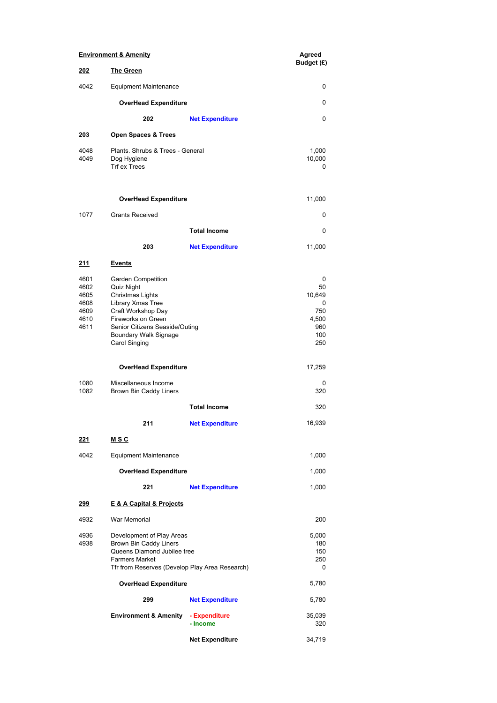| <b>Environment &amp; Amenity</b>                     |                                                                                                                                                                                                   |                             | Agreed                                                      |
|------------------------------------------------------|---------------------------------------------------------------------------------------------------------------------------------------------------------------------------------------------------|-----------------------------|-------------------------------------------------------------|
| 202                                                  | <b>The Green</b>                                                                                                                                                                                  |                             | Budget (£)                                                  |
| 4042                                                 | <b>Equipment Maintenance</b>                                                                                                                                                                      |                             | 0                                                           |
|                                                      |                                                                                                                                                                                                   | <b>OverHead Expenditure</b> |                                                             |
|                                                      | 202                                                                                                                                                                                               | <b>Net Expenditure</b>      | 0                                                           |
| 203                                                  | <b>Open Spaces &amp; Trees</b>                                                                                                                                                                    |                             |                                                             |
| 4048<br>4049                                         | Plants, Shrubs & Trees - General<br>Dog Hygiene<br>Trf ex Trees                                                                                                                                   |                             | 1,000<br>10,000<br>0                                        |
|                                                      | <b>OverHead Expenditure</b>                                                                                                                                                                       |                             | 11,000                                                      |
| 1077                                                 | <b>Grants Received</b>                                                                                                                                                                            |                             | 0                                                           |
|                                                      |                                                                                                                                                                                                   | <b>Total Income</b>         | 0                                                           |
|                                                      | 203                                                                                                                                                                                               | <b>Net Expenditure</b>      | 11,000                                                      |
| <u> 211</u>                                          | <u>Events</u>                                                                                                                                                                                     |                             |                                                             |
| 4601<br>4602<br>4605<br>4608<br>4609<br>4610<br>4611 | Garden Competition<br>Quiz Night<br>Christmas Lights<br>Library Xmas Tree<br>Craft Workshop Day<br>Fireworks on Green<br>Senior Citizens Seaside/Outing<br>Boundary Walk Signage<br>Carol Singing |                             | 0<br>50<br>10,649<br>0<br>750<br>4,500<br>960<br>100<br>250 |
|                                                      | <b>OverHead Expenditure</b>                                                                                                                                                                       |                             | 17,259                                                      |
| 1080<br>1082                                         | Miscellaneous Income<br>Brown Bin Caddy Liners                                                                                                                                                    |                             | 0<br>320                                                    |
|                                                      |                                                                                                                                                                                                   | <b>Total Income</b>         | 320                                                         |
|                                                      | 211                                                                                                                                                                                               | <b>Net Expenditure</b>      | 16,939                                                      |
| <u> 221</u>                                          | <u>MSC</u>                                                                                                                                                                                        |                             |                                                             |
| 4042                                                 | <b>Equipment Maintenance</b>                                                                                                                                                                      |                             | 1,000                                                       |
| <b>OverHead Expenditure</b>                          |                                                                                                                                                                                                   |                             | 1,000                                                       |
|                                                      | 221                                                                                                                                                                                               | <b>Net Expenditure</b>      | 1,000                                                       |
| <u> 299</u>                                          | E & A Capital & Projects                                                                                                                                                                          |                             |                                                             |
| 4932                                                 | War Memorial                                                                                                                                                                                      |                             | 200                                                         |
| 4936<br>4938                                         | Development of Play Areas<br>Brown Bin Caddy Liners<br>Queens Diamond Jubilee tree<br><b>Farmers Market</b><br>Tfr from Reserves (Develop Play Area Research)                                     |                             | 5,000<br>180<br>150<br>250<br>0                             |
|                                                      | <b>OverHead Expenditure</b>                                                                                                                                                                       |                             | 5,780                                                       |
|                                                      | 299                                                                                                                                                                                               | <b>Net Expenditure</b>      | 5,780                                                       |
|                                                      | <b>Environment &amp; Amenity</b>                                                                                                                                                                  | - Expenditure<br>- Income   | 35,039<br>320                                               |
|                                                      |                                                                                                                                                                                                   | <b>Net Expenditure</b>      | 34,719                                                      |